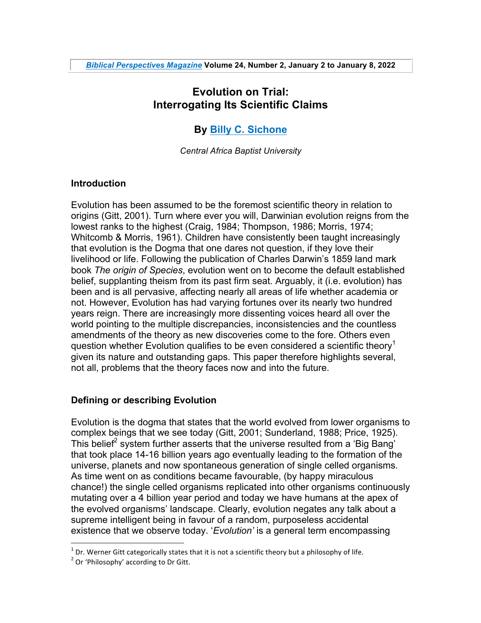# **Evolution on Trial: Interrogating Its Scientific Claims**

# **By Billy C. Sichone**

*Central Africa Baptist University*

### **Introduction**

Evolution has been assumed to be the foremost scientific theory in relation to origins (Gitt, 2001). Turn where ever you will, Darwinian evolution reigns from the lowest ranks to the highest (Craig, 1984; Thompson, 1986; Morris, 1974; Whitcomb & Morris, 1961). Children have consistently been taught increasingly that evolution is the Dogma that one dares not question, if they love their livelihood or life. Following the publication of Charles Darwin's 1859 land mark book *The origin of Species*, evolution went on to become the default established belief, supplanting theism from its past firm seat. Arguably, it (i.e. evolution) has been and is all pervasive, affecting nearly all areas of life whether academia or not. However, Evolution has had varying fortunes over its nearly two hundred years reign. There are increasingly more dissenting voices heard all over the world pointing to the multiple discrepancies, inconsistencies and the countless amendments of the theory as new discoveries come to the fore. Others even question whether Evolution qualifies to be even considered a scientific theory<sup>1</sup> given its nature and outstanding gaps. This paper therefore highlights several, not all, problems that the theory faces now and into the future.

# **Defining or describing Evolution**

Evolution is the dogma that states that the world evolved from lower organisms to complex beings that we see today (Gitt, 2001; Sunderland, 1988; Price, 1925). This belief<sup>2</sup> system further asserts that the universe resulted from a 'Big Bang' that took place 14-16 billion years ago eventually leading to the formation of the universe, planets and now spontaneous generation of single celled organisms. As time went on as conditions became favourable, (by happy miraculous chance!) the single celled organisms replicated into other organisms continuously mutating over a 4 billion year period and today we have humans at the apex of the evolved organisms' landscape. Clearly, evolution negates any talk about a supreme intelligent being in favour of a random, purposeless accidental existence that we observe today. '*Evolution'* is a general term encompassing

<sup>&</sup>lt;sup>1</sup> Dr. Werner Gitt categorically states that it is not a scientific theory but a philosophy of life.<br><sup>2</sup> Or 'Philosophy' according to Dr Gitt.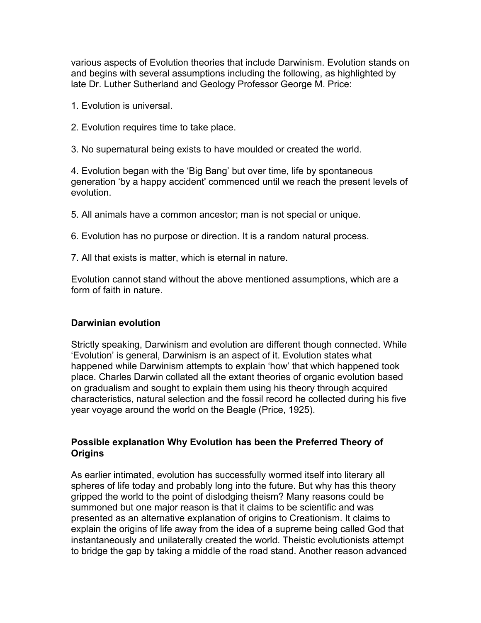various aspects of Evolution theories that include Darwinism. Evolution stands on and begins with several assumptions including the following, as highlighted by late Dr. Luther Sutherland and Geology Professor George M. Price:

1. Evolution is universal.

2. Evolution requires time to take place.

3. No supernatural being exists to have moulded or created the world.

4. Evolution began with the 'Big Bang' but over time, life by spontaneous generation 'by a happy accident' commenced until we reach the present levels of evolution.

5. All animals have a common ancestor; man is not special or unique.

6. Evolution has no purpose or direction. It is a random natural process.

7. All that exists is matter, which is eternal in nature.

Evolution cannot stand without the above mentioned assumptions, which are a form of faith in nature.

#### **Darwinian evolution**

Strictly speaking, Darwinism and evolution are different though connected. While 'Evolution' is general, Darwinism is an aspect of it. Evolution states what happened while Darwinism attempts to explain 'how' that which happened took place. Charles Darwin collated all the extant theories of organic evolution based on gradualism and sought to explain them using his theory through acquired characteristics, natural selection and the fossil record he collected during his five year voyage around the world on the Beagle (Price, 1925).

### **Possible explanation Why Evolution has been the Preferred Theory of Origins**

As earlier intimated, evolution has successfully wormed itself into literary all spheres of life today and probably long into the future. But why has this theory gripped the world to the point of dislodging theism? Many reasons could be summoned but one major reason is that it claims to be scientific and was presented as an alternative explanation of origins to Creationism. It claims to explain the origins of life away from the idea of a supreme being called God that instantaneously and unilaterally created the world. Theistic evolutionists attempt to bridge the gap by taking a middle of the road stand. Another reason advanced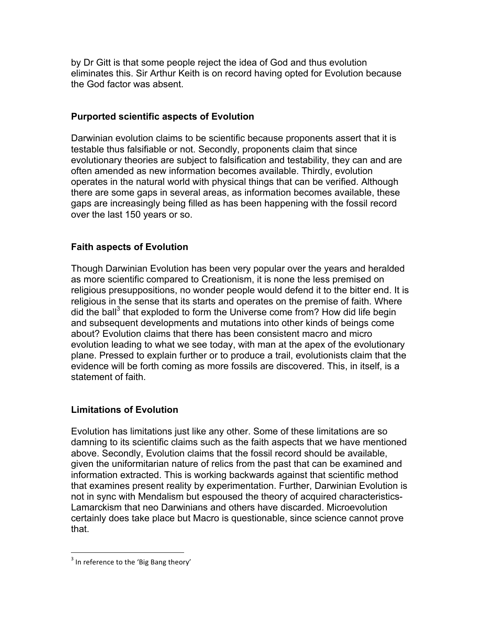by Dr Gitt is that some people reject the idea of God and thus evolution eliminates this. Sir Arthur Keith is on record having opted for Evolution because the God factor was absent.

# **Purported scientific aspects of Evolution**

Darwinian evolution claims to be scientific because proponents assert that it is testable thus falsifiable or not. Secondly, proponents claim that since evolutionary theories are subject to falsification and testability, they can and are often amended as new information becomes available. Thirdly, evolution operates in the natural world with physical things that can be verified. Although there are some gaps in several areas, as information becomes available, these gaps are increasingly being filled as has been happening with the fossil record over the last 150 years or so.

# **Faith aspects of Evolution**

Though Darwinian Evolution has been very popular over the years and heralded as more scientific compared to Creationism, it is none the less premised on religious presuppositions, no wonder people would defend it to the bitter end. It is religious in the sense that its starts and operates on the premise of faith. Where did the ball<sup>3</sup> that exploded to form the Universe come from? How did life begin and subsequent developments and mutations into other kinds of beings come about? Evolution claims that there has been consistent macro and micro evolution leading to what we see today, with man at the apex of the evolutionary plane. Pressed to explain further or to produce a trail, evolutionists claim that the evidence will be forth coming as more fossils are discovered. This, in itself, is a statement of faith.

# **Limitations of Evolution**

Evolution has limitations just like any other. Some of these limitations are so damning to its scientific claims such as the faith aspects that we have mentioned above. Secondly, Evolution claims that the fossil record should be available, given the uniformitarian nature of relics from the past that can be examined and information extracted. This is working backwards against that scientific method that examines present reality by experimentation. Further, Darwinian Evolution is not in sync with Mendalism but espoused the theory of acquired characteristics-Lamarckism that neo Darwinians and others have discarded. Microevolution certainly does take place but Macro is questionable, since science cannot prove that.

 $3$  In reference to the 'Big Bang theory'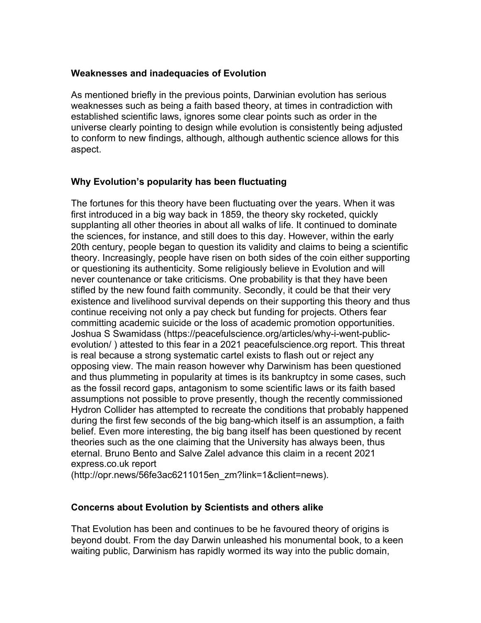#### **Weaknesses and inadequacies of Evolution**

As mentioned briefly in the previous points, Darwinian evolution has serious weaknesses such as being a faith based theory, at times in contradiction with established scientific laws, ignores some clear points such as order in the universe clearly pointing to design while evolution is consistently being adjusted to conform to new findings, although, although authentic science allows for this aspect.

# **Why Evolution's popularity has been fluctuating**

The fortunes for this theory have been fluctuating over the years. When it was first introduced in a big way back in 1859, the theory sky rocketed, quickly supplanting all other theories in about all walks of life. It continued to dominate the sciences, for instance, and still does to this day. However, within the early 20th century, people began to question its validity and claims to being a scientific theory. Increasingly, people have risen on both sides of the coin either supporting or questioning its authenticity. Some religiously believe in Evolution and will never countenance or take criticisms. One probability is that they have been stifled by the new found faith community. Secondly, it could be that their very existence and livelihood survival depends on their supporting this theory and thus continue receiving not only a pay check but funding for projects. Others fear committing academic suicide or the loss of academic promotion opportunities. Joshua S Swamidass (https://peacefulscience.org/articles/why-i-went-publicevolution/ ) attested to this fear in a 2021 peacefulscience.org report. This threat is real because a strong systematic cartel exists to flash out or reject any opposing view. The main reason however why Darwinism has been questioned and thus plummeting in popularity at times is its bankruptcy in some cases, such as the fossil record gaps, antagonism to some scientific laws or its faith based assumptions not possible to prove presently, though the recently commissioned Hydron Collider has attempted to recreate the conditions that probably happened during the first few seconds of the big bang-which itself is an assumption, a faith belief. Even more interesting, the big bang itself has been questioned by recent theories such as the one claiming that the University has always been, thus eternal. Bruno Bento and Salve Zalel advance this claim in a recent 2021 express.co.uk report

(http://opr.news/56fe3ac6211015en\_zm?link=1&client=news).

# **Concerns about Evolution by Scientists and others alike**

That Evolution has been and continues to be he favoured theory of origins is beyond doubt. From the day Darwin unleashed his monumental book, to a keen waiting public, Darwinism has rapidly wormed its way into the public domain,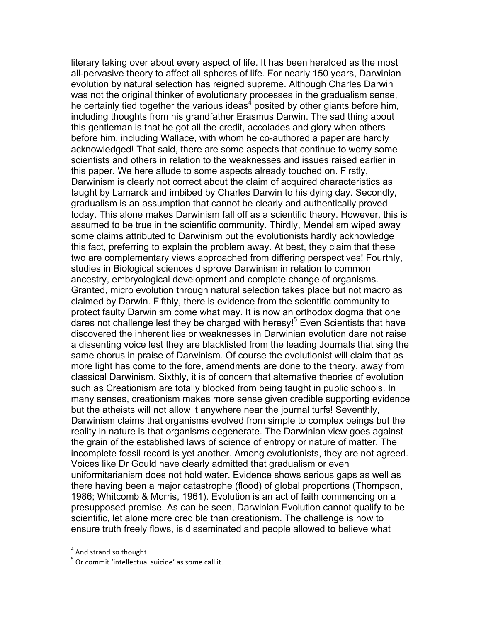literary taking over about every aspect of life. It has been heralded as the most all-pervasive theory to affect all spheres of life. For nearly 150 years, Darwinian evolution by natural selection has reigned supreme. Although Charles Darwin was not the original thinker of evolutionary processes in the gradualism sense, he certainly tied together the various ideas<sup>4</sup> posited by other giants before him, including thoughts from his grandfather Erasmus Darwin. The sad thing about this gentleman is that he got all the credit, accolades and glory when others before him, including Wallace, with whom he co-authored a paper are hardly acknowledged! That said, there are some aspects that continue to worry some scientists and others in relation to the weaknesses and issues raised earlier in this paper. We here allude to some aspects already touched on. Firstly, Darwinism is clearly not correct about the claim of acquired characteristics as taught by Lamarck and imbibed by Charles Darwin to his dying day. Secondly, gradualism is an assumption that cannot be clearly and authentically proved today. This alone makes Darwinism fall off as a scientific theory. However, this is assumed to be true in the scientific community. Thirdly, Mendelism wiped away some claims attributed to Darwinism but the evolutionists hardly acknowledge this fact, preferring to explain the problem away. At best, they claim that these two are complementary views approached from differing perspectives! Fourthly, studies in Biological sciences disprove Darwinism in relation to common ancestry, embryological development and complete change of organisms. Granted, micro evolution through natural selection takes place but not macro as claimed by Darwin. Fifthly, there is evidence from the scientific community to protect faulty Darwinism come what may. It is now an orthodox dogma that one dares not challenge lest they be charged with heresy! $5$  Even Scientists that have discovered the inherent lies or weaknesses in Darwinian evolution dare not raise a dissenting voice lest they are blacklisted from the leading Journals that sing the same chorus in praise of Darwinism. Of course the evolutionist will claim that as more light has come to the fore, amendments are done to the theory, away from classical Darwinism. Sixthly, it is of concern that alternative theories of evolution such as Creationism are totally blocked from being taught in public schools. In many senses, creationism makes more sense given credible supporting evidence but the atheists will not allow it anywhere near the journal turfs! Seventhly, Darwinism claims that organisms evolved from simple to complex beings but the reality in nature is that organisms degenerate. The Darwinian view goes against the grain of the established laws of science of entropy or nature of matter. The incomplete fossil record is yet another. Among evolutionists, they are not agreed. Voices like Dr Gould have clearly admitted that gradualism or even uniformitarianism does not hold water. Evidence shows serious gaps as well as there having been a major catastrophe (flood) of global proportions (Thompson, 1986; Whitcomb & Morris, 1961). Evolution is an act of faith commencing on a presupposed premise. As can be seen, Darwinian Evolution cannot qualify to be scientific, let alone more credible than creationism. The challenge is how to ensure truth freely flows, is disseminated and people allowed to believe what

<sup>&</sup>lt;sup>4</sup> And strand so thought

 $5$  Or commit 'intellectual suicide' as some call it.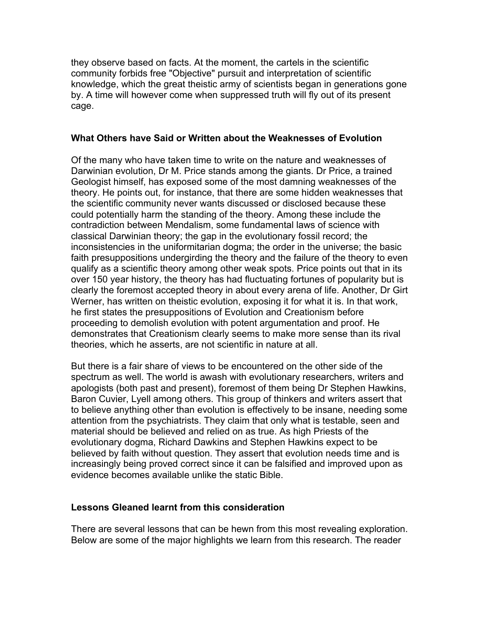they observe based on facts. At the moment, the cartels in the scientific community forbids free "Objective" pursuit and interpretation of scientific knowledge, which the great theistic army of scientists began in generations gone by. A time will however come when suppressed truth will fly out of its present cage.

#### **What Others have Said or Written about the Weaknesses of Evolution**

Of the many who have taken time to write on the nature and weaknesses of Darwinian evolution, Dr M. Price stands among the giants. Dr Price, a trained Geologist himself, has exposed some of the most damning weaknesses of the theory. He points out, for instance, that there are some hidden weaknesses that the scientific community never wants discussed or disclosed because these could potentially harm the standing of the theory. Among these include the contradiction between Mendalism, some fundamental laws of science with classical Darwinian theory; the gap in the evolutionary fossil record; the inconsistencies in the uniformitarian dogma; the order in the universe; the basic faith presuppositions undergirding the theory and the failure of the theory to even qualify as a scientific theory among other weak spots. Price points out that in its over 150 year history, the theory has had fluctuating fortunes of popularity but is clearly the foremost accepted theory in about every arena of life. Another, Dr Girt Werner, has written on theistic evolution, exposing it for what it is. In that work, he first states the presuppositions of Evolution and Creationism before proceeding to demolish evolution with potent argumentation and proof. He demonstrates that Creationism clearly seems to make more sense than its rival theories, which he asserts, are not scientific in nature at all.

But there is a fair share of views to be encountered on the other side of the spectrum as well. The world is awash with evolutionary researchers, writers and apologists (both past and present), foremost of them being Dr Stephen Hawkins, Baron Cuvier, Lyell among others. This group of thinkers and writers assert that to believe anything other than evolution is effectively to be insane, needing some attention from the psychiatrists. They claim that only what is testable, seen and material should be believed and relied on as true. As high Priests of the evolutionary dogma, Richard Dawkins and Stephen Hawkins expect to be believed by faith without question. They assert that evolution needs time and is increasingly being proved correct since it can be falsified and improved upon as evidence becomes available unlike the static Bible.

#### **Lessons Gleaned learnt from this consideration**

There are several lessons that can be hewn from this most revealing exploration. Below are some of the major highlights we learn from this research. The reader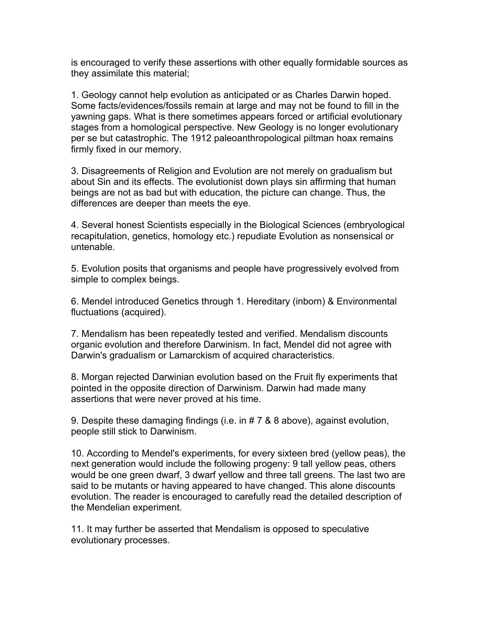is encouraged to verify these assertions with other equally formidable sources as they assimilate this material;

1. Geology cannot help evolution as anticipated or as Charles Darwin hoped. Some facts/evidences/fossils remain at large and may not be found to fill in the yawning gaps. What is there sometimes appears forced or artificial evolutionary stages from a homological perspective. New Geology is no longer evolutionary per se but catastrophic. The 1912 paleoanthropological piltman hoax remains firmly fixed in our memory.

3. Disagreements of Religion and Evolution are not merely on gradualism but about Sin and its effects. The evolutionist down plays sin affirming that human beings are not as bad but with education, the picture can change. Thus, the differences are deeper than meets the eye.

4. Several honest Scientists especially in the Biological Sciences (embryological recapitulation, genetics, homology etc.) repudiate Evolution as nonsensical or untenable.

5. Evolution posits that organisms and people have progressively evolved from simple to complex beings.

6. Mendel introduced Genetics through 1. Hereditary (inborn) & Environmental fluctuations (acquired).

7. Mendalism has been repeatedly tested and verified. Mendalism discounts organic evolution and therefore Darwinism. In fact, Mendel did not agree with Darwin's gradualism or Lamarckism of acquired characteristics.

8. Morgan rejected Darwinian evolution based on the Fruit fly experiments that pointed in the opposite direction of Darwinism. Darwin had made many assertions that were never proved at his time.

9. Despite these damaging findings (i.e. in # 7 & 8 above), against evolution, people still stick to Darwinism.

10. According to Mendel's experiments, for every sixteen bred (yellow peas), the next generation would include the following progeny: 9 tall yellow peas, others would be one green dwarf, 3 dwarf yellow and three tall greens. The last two are said to be mutants or having appeared to have changed. This alone discounts evolution. The reader is encouraged to carefully read the detailed description of the Mendelian experiment.

11. It may further be asserted that Mendalism is opposed to speculative evolutionary processes.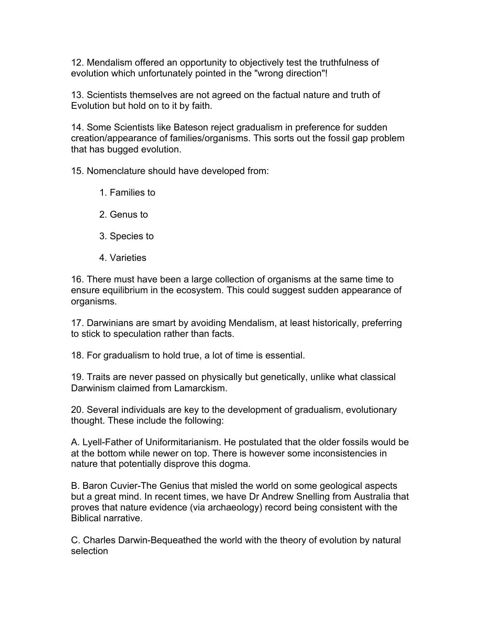12. Mendalism offered an opportunity to objectively test the truthfulness of evolution which unfortunately pointed in the "wrong direction"!

13. Scientists themselves are not agreed on the factual nature and truth of Evolution but hold on to it by faith.

14. Some Scientists like Bateson reject gradualism in preference for sudden creation/appearance of families/organisms. This sorts out the fossil gap problem that has bugged evolution.

15. Nomenclature should have developed from:

- 1. Families to
- 2. Genus to
- 3. Species to
- 4. Varieties

16. There must have been a large collection of organisms at the same time to ensure equilibrium in the ecosystem. This could suggest sudden appearance of organisms.

17. Darwinians are smart by avoiding Mendalism, at least historically, preferring to stick to speculation rather than facts.

18. For gradualism to hold true, a lot of time is essential.

19. Traits are never passed on physically but genetically, unlike what classical Darwinism claimed from Lamarckism.

20. Several individuals are key to the development of gradualism, evolutionary thought. These include the following:

A. Lyell-Father of Uniformitarianism. He postulated that the older fossils would be at the bottom while newer on top. There is however some inconsistencies in nature that potentially disprove this dogma.

B. Baron Cuvier-The Genius that misled the world on some geological aspects but a great mind. In recent times, we have Dr Andrew Snelling from Australia that proves that nature evidence (via archaeology) record being consistent with the Biblical narrative.

C. Charles Darwin-Bequeathed the world with the theory of evolution by natural selection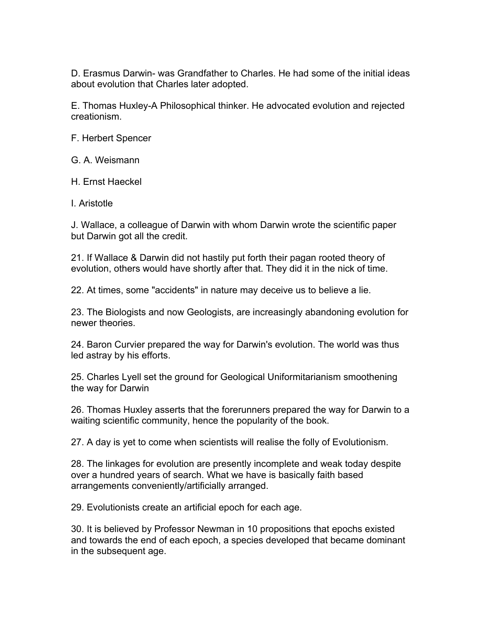D. Erasmus Darwin- was Grandfather to Charles. He had some of the initial ideas about evolution that Charles later adopted.

E. Thomas Huxley-A Philosophical thinker. He advocated evolution and rejected creationism.

F. Herbert Spencer

G. A. Weismann

H. Ernst Haeckel

I. Aristotle

J. Wallace, a colleague of Darwin with whom Darwin wrote the scientific paper but Darwin got all the credit.

21. If Wallace & Darwin did not hastily put forth their pagan rooted theory of evolution, others would have shortly after that. They did it in the nick of time.

22. At times, some "accidents" in nature may deceive us to believe a lie.

23. The Biologists and now Geologists, are increasingly abandoning evolution for newer theories.

24. Baron Curvier prepared the way for Darwin's evolution. The world was thus led astray by his efforts.

25. Charles Lyell set the ground for Geological Uniformitarianism smoothening the way for Darwin

26. Thomas Huxley asserts that the forerunners prepared the way for Darwin to a waiting scientific community, hence the popularity of the book.

27. A day is yet to come when scientists will realise the folly of Evolutionism.

28. The linkages for evolution are presently incomplete and weak today despite over a hundred years of search. What we have is basically faith based arrangements conveniently/artificially arranged.

29. Evolutionists create an artificial epoch for each age.

30. It is believed by Professor Newman in 10 propositions that epochs existed and towards the end of each epoch, a species developed that became dominant in the subsequent age.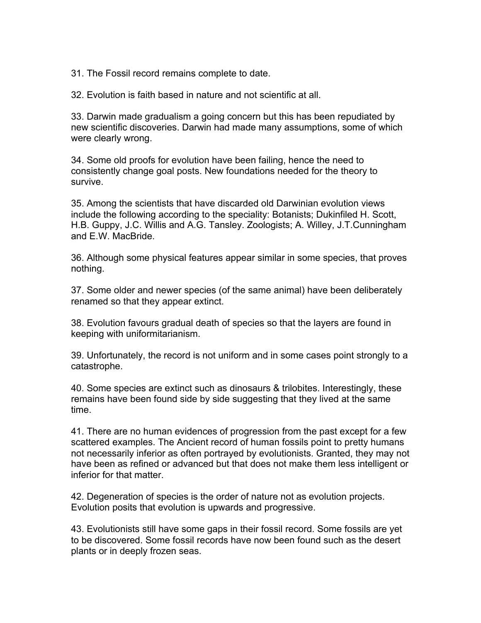31. The Fossil record remains complete to date.

32. Evolution is faith based in nature and not scientific at all.

33. Darwin made gradualism a going concern but this has been repudiated by new scientific discoveries. Darwin had made many assumptions, some of which were clearly wrong.

34. Some old proofs for evolution have been failing, hence the need to consistently change goal posts. New foundations needed for the theory to survive.

35. Among the scientists that have discarded old Darwinian evolution views include the following according to the speciality: Botanists; Dukinfiled H. Scott, H.B. Guppy, J.C. Willis and A.G. Tansley. Zoologists; A. Willey, J.T.Cunningham and E.W. MacBride.

36. Although some physical features appear similar in some species, that proves nothing.

37. Some older and newer species (of the same animal) have been deliberately renamed so that they appear extinct.

38. Evolution favours gradual death of species so that the layers are found in keeping with uniformitarianism.

39. Unfortunately, the record is not uniform and in some cases point strongly to a catastrophe.

40. Some species are extinct such as dinosaurs & trilobites. Interestingly, these remains have been found side by side suggesting that they lived at the same time.

41. There are no human evidences of progression from the past except for a few scattered examples. The Ancient record of human fossils point to pretty humans not necessarily inferior as often portrayed by evolutionists. Granted, they may not have been as refined or advanced but that does not make them less intelligent or inferior for that matter.

42. Degeneration of species is the order of nature not as evolution projects. Evolution posits that evolution is upwards and progressive.

43. Evolutionists still have some gaps in their fossil record. Some fossils are yet to be discovered. Some fossil records have now been found such as the desert plants or in deeply frozen seas.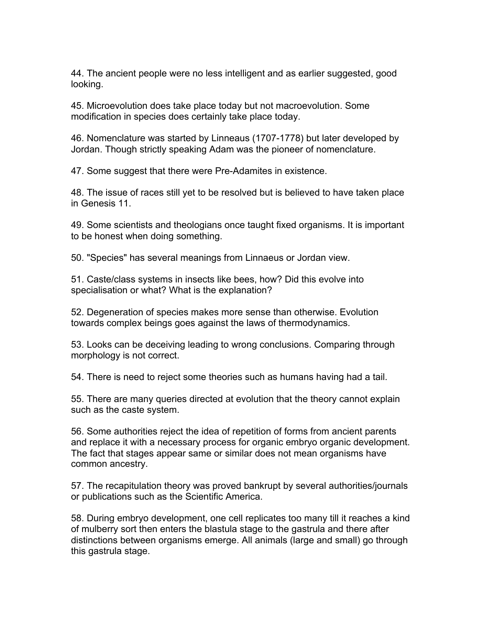44. The ancient people were no less intelligent and as earlier suggested, good looking.

45. Microevolution does take place today but not macroevolution. Some modification in species does certainly take place today.

46. Nomenclature was started by Linneaus (1707-1778) but later developed by Jordan. Though strictly speaking Adam was the pioneer of nomenclature.

47. Some suggest that there were Pre-Adamites in existence.

48. The issue of races still yet to be resolved but is believed to have taken place in Genesis 11.

49. Some scientists and theologians once taught fixed organisms. It is important to be honest when doing something.

50. "Species" has several meanings from Linnaeus or Jordan view.

51. Caste/class systems in insects like bees, how? Did this evolve into specialisation or what? What is the explanation?

52. Degeneration of species makes more sense than otherwise. Evolution towards complex beings goes against the laws of thermodynamics.

53. Looks can be deceiving leading to wrong conclusions. Comparing through morphology is not correct.

54. There is need to reject some theories such as humans having had a tail.

55. There are many queries directed at evolution that the theory cannot explain such as the caste system.

56. Some authorities reject the idea of repetition of forms from ancient parents and replace it with a necessary process for organic embryo organic development. The fact that stages appear same or similar does not mean organisms have common ancestry.

57. The recapitulation theory was proved bankrupt by several authorities/journals or publications such as the Scientific America.

58. During embryo development, one cell replicates too many till it reaches a kind of mulberry sort then enters the blastula stage to the gastrula and there after distinctions between organisms emerge. All animals (large and small) go through this gastrula stage.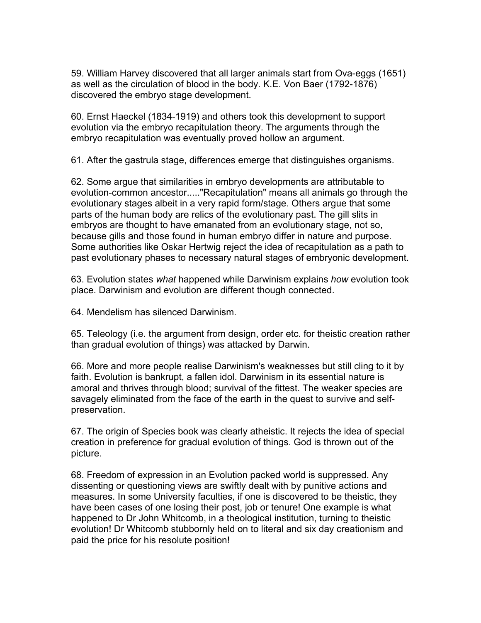59. William Harvey discovered that all larger animals start from Ova-eggs (1651) as well as the circulation of blood in the body. K.E. Von Baer (1792-1876) discovered the embryo stage development.

60. Ernst Haeckel (1834-1919) and others took this development to support evolution via the embryo recapitulation theory. The arguments through the embryo recapitulation was eventually proved hollow an argument.

61. After the gastrula stage, differences emerge that distinguishes organisms.

62. Some argue that similarities in embryo developments are attributable to evolution-common ancestor....."Recapitulation" means all animals go through the evolutionary stages albeit in a very rapid form/stage. Others argue that some parts of the human body are relics of the evolutionary past. The gill slits in embryos are thought to have emanated from an evolutionary stage, not so, because gills and those found in human embryo differ in nature and purpose. Some authorities like Oskar Hertwig reject the idea of recapitulation as a path to past evolutionary phases to necessary natural stages of embryonic development.

63. Evolution states *what* happened while Darwinism explains *how* evolution took place. Darwinism and evolution are different though connected.

64. Mendelism has silenced Darwinism.

65. Teleology (i.e. the argument from design, order etc. for theistic creation rather than gradual evolution of things) was attacked by Darwin.

66. More and more people realise Darwinism's weaknesses but still cling to it by faith. Evolution is bankrupt, a fallen idol. Darwinism in its essential nature is amoral and thrives through blood; survival of the fittest. The weaker species are savagely eliminated from the face of the earth in the quest to survive and selfpreservation.

67. The origin of Species book was clearly atheistic. It rejects the idea of special creation in preference for gradual evolution of things. God is thrown out of the picture.

68. Freedom of expression in an Evolution packed world is suppressed. Any dissenting or questioning views are swiftly dealt with by punitive actions and measures. In some University faculties, if one is discovered to be theistic, they have been cases of one losing their post, job or tenure! One example is what happened to Dr John Whitcomb, in a theological institution, turning to theistic evolution! Dr Whitcomb stubbornly held on to literal and six day creationism and paid the price for his resolute position!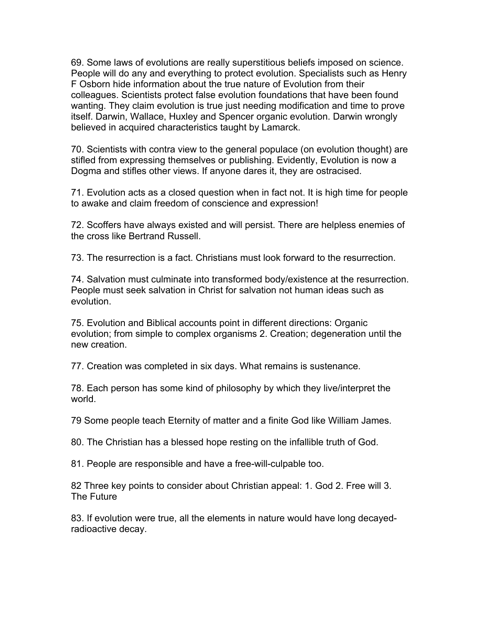69. Some laws of evolutions are really superstitious beliefs imposed on science. People will do any and everything to protect evolution. Specialists such as Henry F Osborn hide information about the true nature of Evolution from their colleagues. Scientists protect false evolution foundations that have been found wanting. They claim evolution is true just needing modification and time to prove itself. Darwin, Wallace, Huxley and Spencer organic evolution. Darwin wrongly believed in acquired characteristics taught by Lamarck.

70. Scientists with contra view to the general populace (on evolution thought) are stifled from expressing themselves or publishing. Evidently, Evolution is now a Dogma and stifles other views. If anyone dares it, they are ostracised.

71. Evolution acts as a closed question when in fact not. It is high time for people to awake and claim freedom of conscience and expression!

72. Scoffers have always existed and will persist. There are helpless enemies of the cross like Bertrand Russell.

73. The resurrection is a fact. Christians must look forward to the resurrection.

74. Salvation must culminate into transformed body/existence at the resurrection. People must seek salvation in Christ for salvation not human ideas such as evolution.

75. Evolution and Biblical accounts point in different directions: Organic evolution; from simple to complex organisms 2. Creation; degeneration until the new creation.

77. Creation was completed in six days. What remains is sustenance.

78. Each person has some kind of philosophy by which they live/interpret the world.

79 Some people teach Eternity of matter and a finite God like William James.

80. The Christian has a blessed hope resting on the infallible truth of God.

81. People are responsible and have a free-will-culpable too.

82 Three key points to consider about Christian appeal: 1. God 2. Free will 3. The Future

83. If evolution were true, all the elements in nature would have long decayedradioactive decay.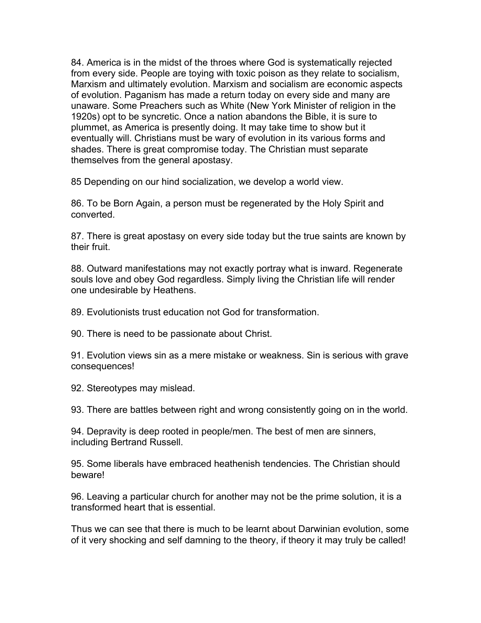84. America is in the midst of the throes where God is systematically rejected from every side. People are toying with toxic poison as they relate to socialism, Marxism and ultimately evolution. Marxism and socialism are economic aspects of evolution. Paganism has made a return today on every side and many are unaware. Some Preachers such as White (New York Minister of religion in the 1920s) opt to be syncretic. Once a nation abandons the Bible, it is sure to plummet, as America is presently doing. It may take time to show but it eventually will. Christians must be wary of evolution in its various forms and shades. There is great compromise today. The Christian must separate themselves from the general apostasy.

85 Depending on our hind socialization, we develop a world view.

86. To be Born Again, a person must be regenerated by the Holy Spirit and converted.

87. There is great apostasy on every side today but the true saints are known by their fruit.

88. Outward manifestations may not exactly portray what is inward. Regenerate souls love and obey God regardless. Simply living the Christian life will render one undesirable by Heathens.

89. Evolutionists trust education not God for transformation.

90. There is need to be passionate about Christ.

91. Evolution views sin as a mere mistake or weakness. Sin is serious with grave consequences!

92. Stereotypes may mislead.

93. There are battles between right and wrong consistently going on in the world.

94. Depravity is deep rooted in people/men. The best of men are sinners, including Bertrand Russell.

95. Some liberals have embraced heathenish tendencies. The Christian should beware!

96. Leaving a particular church for another may not be the prime solution, it is a transformed heart that is essential.

Thus we can see that there is much to be learnt about Darwinian evolution, some of it very shocking and self damning to the theory, if theory it may truly be called!